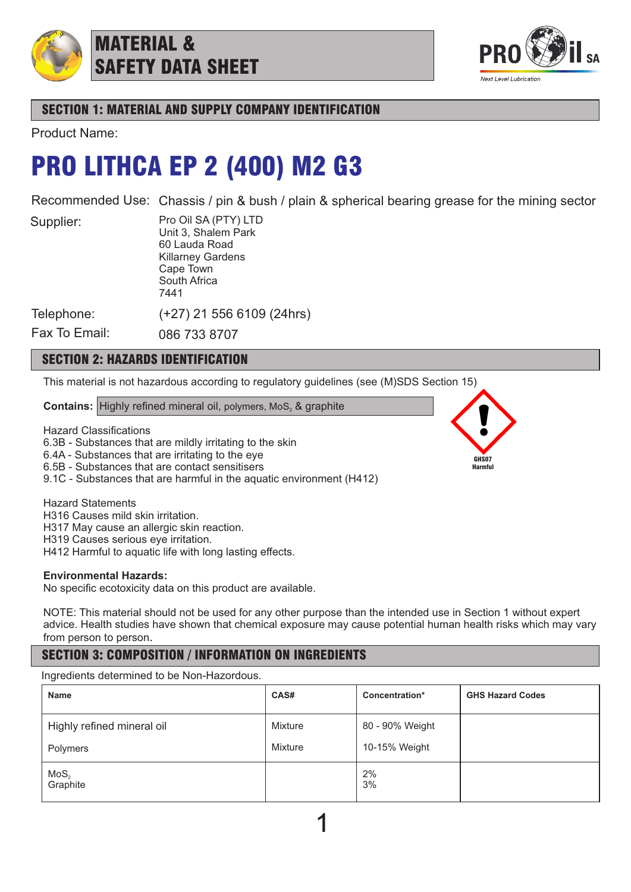

## MATERIAL & SAFETY DATA SHEET



## SECTION 1: MATERIAL AND SUPPLY COMPANY IDENTIFICATION

Product Name:

## PRO LITHCA EP 2 (400) M2 G3

Recommended Use: Chassis / pin & bush / plain & spherical bearing grease for the mining sector

Supplier:

Pro Oil SA (PTY) LTD Unit 3, Shalem Park 60 Lauda Road Killarney Gardens Cape Town South Africa 7441

(+27) 21 556 6109 (24hrs)

Telephone:

Fax To Email: 086 733 8707

## SECTION 2: HAZARDS IDENTIFICATION

This material is not hazardous according to regulatory guidelines (see (M)SDS Section 15)

**Contains:** Highly refined mineral oil, polymers, MoS<sub>2</sub> & graphite

Hazard Classifications

6.3B - Substances that are mildly irritating to the skin

6.4A - Substances that are irritating to the eye

6.5B - Substances that are contact sensitisers

9.1C - Substances that are harmful in the aquatic environment (H412)

Hazard Statements

H316 Causes mild skin irritation.

H317 May cause an allergic skin reaction.

H319 Causes serious eye irritation.

H412 Harmful to aquatic life with long lasting effects.

### **Environmental Hazards:**

No specific ecotoxicity data on this product are available.

NOTE: This material should not be used for any other purpose than the intended use in Section 1 without expert advice. Health studies have shown that chemical exposure may cause potential human health risks which may vary from person to person.

## SECTION 3: COMPOSITION / INFORMATION ON INGREDIENTS

Ingredients determined to be Non-Hazordous.

| <b>Name</b>                  | CAS#    | Concentration*  | <b>GHS Hazard Codes</b> |
|------------------------------|---------|-----------------|-------------------------|
| Highly refined mineral oil   | Mixture | 80 - 90% Weight |                         |
| Polymers                     | Mixture | 10-15% Weight   |                         |
| MoS <sub>2</sub><br>Graphite |         | 2%<br>3%        |                         |

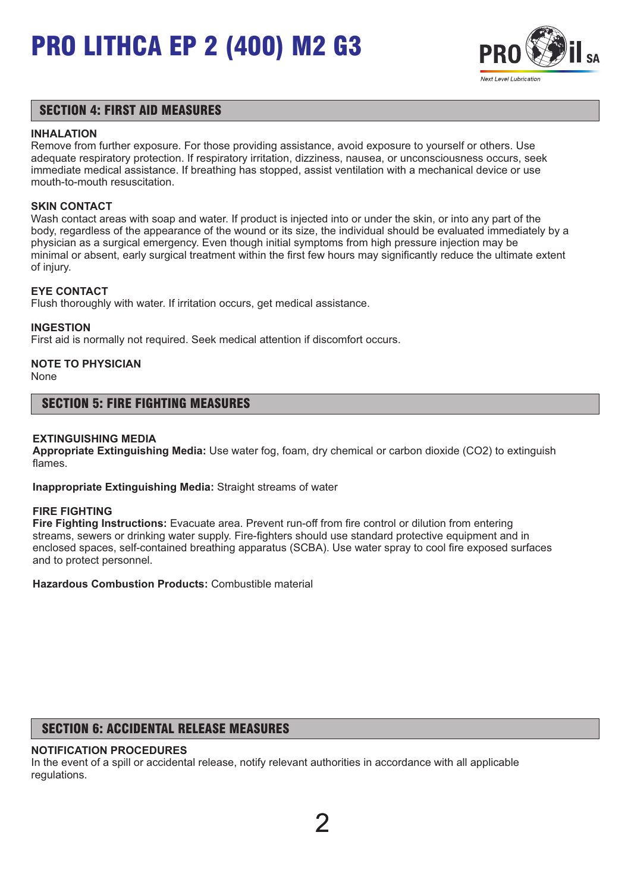

### SECTION 4: FIRST AID MEASURES

#### **INHALATION**

Remove from further exposure. For those providing assistance, avoid exposure to yourself or others. Use adequate respiratory protection. If respiratory irritation, dizziness, nausea, or unconsciousness occurs, seek immediate medical assistance. If breathing has stopped, assist ventilation with a mechanical device or use mouth-to-mouth resuscitation.

#### **SKIN CONTACT**

Wash contact areas with soap and water. If product is injected into or under the skin, or into any part of the body, regardless of the appearance of the wound or its size, the individual should be evaluated immediately by a physician as a surgical emergency. Even though initial symptoms from high pressure injection may be minimal or absent, early surgical treatment within the first few hours may significantly reduce the ultimate extent of injury.

#### **EYE CONTACT**

Flush thoroughly with water. If irritation occurs, get medical assistance.

#### **INGESTION**

First aid is normally not required. Seek medical attention if discomfort occurs.

## **NOTE TO PHYSICIAN**

None

#### SECTION 5: FIRE FIGHTING MEASURES

#### **EXTINGUISHING MEDIA**

**Appropriate Extinguishing Media:** Use water fog, foam, dry chemical or carbon dioxide (CO2) to extinguish flames.

**Inappropriate Extinguishing Media:** Straight streams of water

#### **FIRE FIGHTING**

**Fire Fighting Instructions:** Evacuate area. Prevent run-off from fire control or dilution from entering streams, sewers or drinking water supply. Fire-fighters should use standard protective equipment and in enclosed spaces, self-contained breathing apparatus (SCBA). Use water spray to cool fire exposed surfaces and to protect personnel.

**Hazardous Combustion Products:** Combustible material

## SECTION 6: ACCIDENTAL RELEASE MEASURES

#### **NOTIFICATION PROCEDURES**

In the event of a spill or accidental release, notify relevant authorities in accordance with all applicable regulations.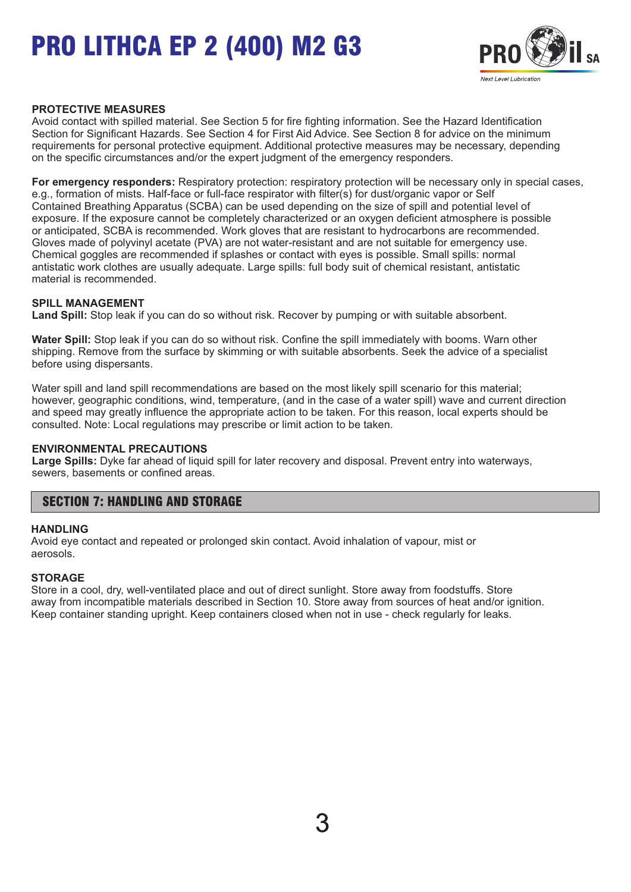

#### **PROTECTIVE MEASURES**

Avoid contact with spilled material. See Section 5 for fire fighting information. See the Hazard Identification Section for Significant Hazards. See Section 4 for First Aid Advice. See Section 8 for advice on the minimum requirements for personal protective equipment. Additional protective measures may be necessary, depending on the specific circumstances and/or the expert judgment of the emergency responders.

**For emergency responders:** Respiratory protection: respiratory protection will be necessary only in special cases, e.g., formation of mists. Half-face or full-face respirator with filter(s) for dust/organic vapor or Self Contained Breathing Apparatus (SCBA) can be used depending on the size of spill and potential level of exposure. If the exposure cannot be completely characterized or an oxygen deficient atmosphere is possible or anticipated, SCBA is recommended. Work gloves that are resistant to hydrocarbons are recommended. Gloves made of polyvinyl acetate (PVA) are not water-resistant and are not suitable for emergency use. Chemical goggles are recommended if splashes or contact with eyes is possible. Small spills: normal antistatic work clothes are usually adequate. Large spills: full body suit of chemical resistant, antistatic material is recommended.

#### **SPILL MANAGEMENT**

**Land Spill:** Stop leak if you can do so without risk. Recover by pumping or with suitable absorbent.

**Water Spill:** Stop leak if you can do so without risk. Confine the spill immediately with booms. Warn other shipping. Remove from the surface by skimming or with suitable absorbents. Seek the advice of a specialist before using dispersants.

Water spill and land spill recommendations are based on the most likely spill scenario for this material; however, geographic conditions, wind, temperature, (and in the case of a water spill) wave and current direction and speed may greatly influence the appropriate action to be taken. For this reason, local experts should be consulted. Note: Local regulations may prescribe or limit action to be taken.

#### **ENVIRONMENTAL PRECAUTIONS**

**Large Spills:** Dyke far ahead of liquid spill for later recovery and disposal. Prevent entry into waterways, sewers, basements or confined areas.

### SECTION 7: HANDLING AND STORAGE

#### **HANDLING**

Avoid eye contact and repeated or prolonged skin contact. Avoid inhalation of vapour, mist or aerosols.

#### **STORAGE**

Store in a cool, dry, well-ventilated place and out of direct sunlight. Store away from foodstuffs. Store away from incompatible materials described in Section 10. Store away from sources of heat and/or ignition. Keep container standing upright. Keep containers closed when not in use - check regularly for leaks.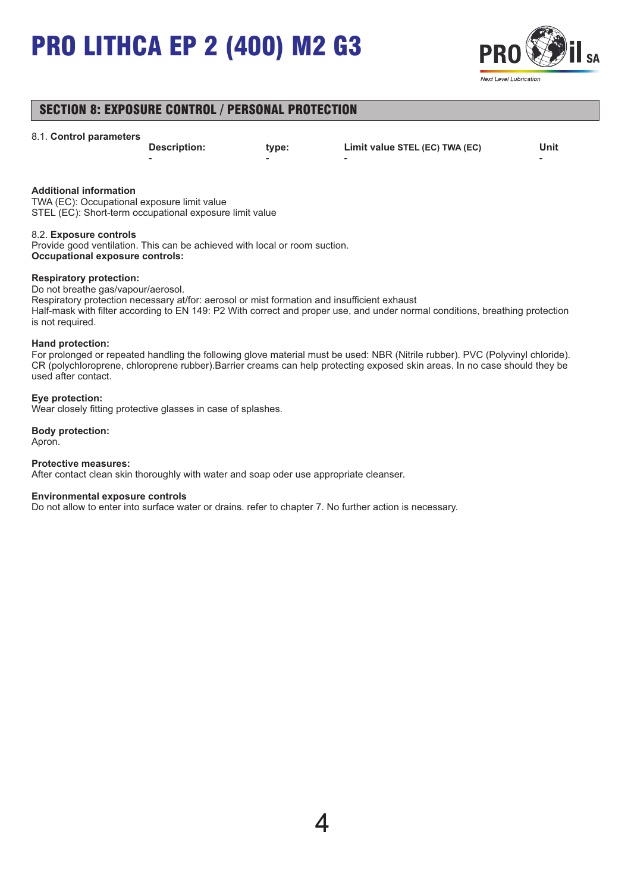

## SECTION 8: EXPOSURE CONTROL / PERSONAL PROTECTION

#### 8.1. **Control parameters**

- - - -

**Description: type: Limit value STEL (EC) TWA (EC) Unit**

#### **Additional information**

TWA (EC): Occupational exposure limit value STEL (EC): Short-term occupational exposure limit value

#### 8.2. **Exposure controls**

Provide good ventilation. This can be achieved with local or room suction. **Occupational exposure controls:**

#### **Respiratory protection:**

Do not breathe gas/vapour/aerosol.

Respiratory protection necessary at/for: aerosol or mist formation and insufficient exhaust Half-mask with filter according to EN 149: P2 With correct and proper use, and under normal conditions, breathing protection is not required.

#### **Hand protection:**

For prolonged or repeated handling the following glove material must be used: NBR (Nitrile rubber). PVC (Polyvinyl chloride). CR (polychloroprene, chloroprene rubber).Barrier creams can help protecting exposed skin areas. In no case should they be used after contact.

#### **Eye protection:**

Wear closely fitting protective glasses in case of splashes.

#### **Body protection:** Apron.

#### **Protective measures:**

After contact clean skin thoroughly with water and soap oder use appropriate cleanser.

#### **Environmental exposure controls**

Do not allow to enter into surface water or drains. refer to chapter 7. No further action is necessary.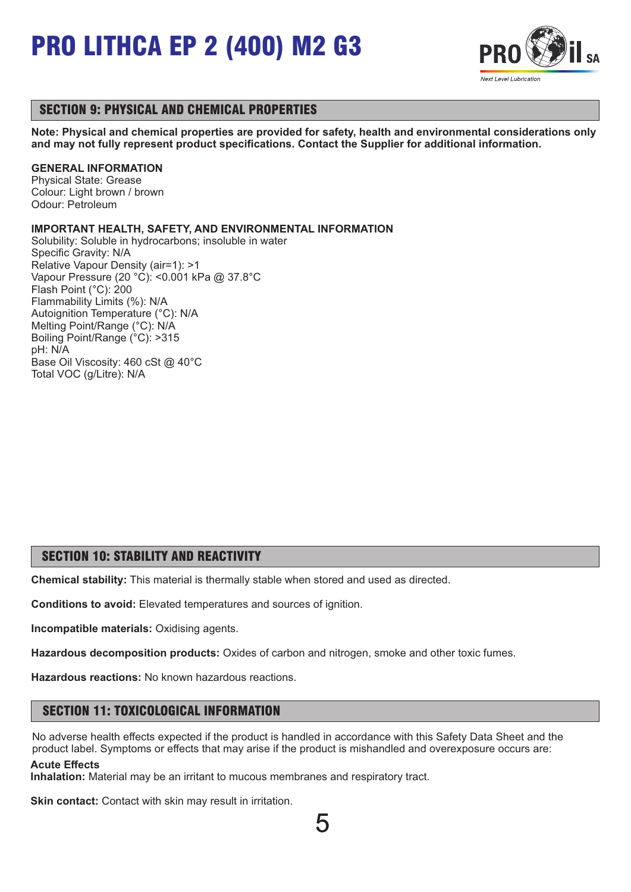

## SECTION 9: PHYSICAL AND CHEMICAL PROPERTIES

**Note: Physical and chemical properties are provided for safety, health and environmental considerations only and may not fully represent product specifications. Contact the Supplier for additional information.**

#### **GENERAL INFORMATION**

Physical State: Grease Colour: Light brown / brown Odour: Petroleum

#### **IMPORTANT HEALTH, SAFETY, AND ENVIRONMENTAL INFORMATION**

Solubility: Soluble in hydrocarbons; insoluble in water Specific Gravity: N/A Relative Vapour Density (air=1): >1 Vapour Pressure (20 °C): <0.001 kPa @ 37.8°C Flash Point (°C): 200 Flammability Limits (%): N/A Autoignition Temperature (°C): N/A Melting Point/Range (°C): N/A Boiling Point/Range (°C): >315 pH: N/A Base Oil Viscosity: 460 cSt @ 40°C Total VOC (g/Litre): N/A

## SECTION 10: STABILITY AND REACTIVITY

**Chemical stability:** This material is thermally stable when stored and used as directed.

**Conditions to avoid:** Elevated temperatures and sources of ignition.

**Incompatible materials:** Oxidising agents.

**Hazardous decomposition products:** Oxides of carbon and nitrogen, smoke and other toxic fumes.

**Hazardous reactions:** No known hazardous reactions.

## SECTION 11: TOXICOLOGICAL INFORMATION

No adverse health effects expected if the product is handled in accordance with this Safety Data Sheet and the product label. Symptoms or effects that may arise if the product is mishandled and overexposure occurs are: **Acute Effects**

**Inhalation:** Material may be an irritant to mucous membranes and respiratory tract.

**Skin contact:** Contact with skin may result in irritation.

5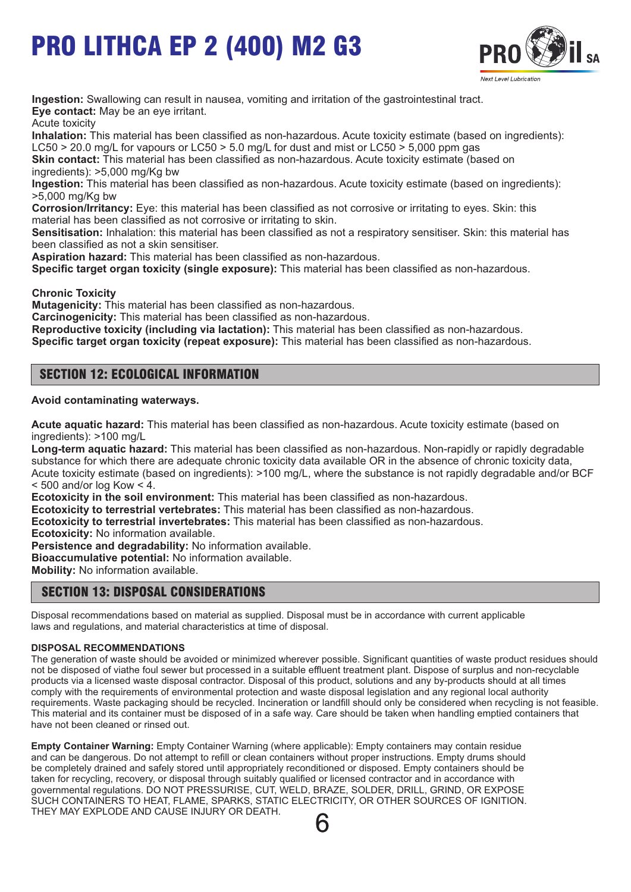

**Ingestion:** Swallowing can result in nausea, vomiting and irritation of the gastrointestinal tract. **Eye contact:** May be an eye irritant.

Acute toxicity

**Inhalation:** This material has been classified as non-hazardous. Acute toxicity estimate (based on ingredients): LC50  $>$  20.0 mg/L for vapours or LC50  $>$  5.0 mg/L for dust and mist or LC50  $>$  5,000 ppm gas

**Skin contact:** This material has been classified as non-hazardous. Acute toxicity estimate (based on ingredients): >5,000 mg/Kg bw

**Ingestion:** This material has been classified as non-hazardous. Acute toxicity estimate (based on ingredients): >5,000 mg/Kg bw

**Corrosion/Irritancy:** Eye: this material has been classified as not corrosive or irritating to eyes. Skin: this material has been classified as not corrosive or irritating to skin.

**Sensitisation:** Inhalation: this material has been classified as not a respiratory sensitiser. Skin: this material has been classified as not a skin sensitiser.

**Aspiration hazard:** This material has been classified as non-hazardous.

**Specific target organ toxicity (single exposure):** This material has been classified as non-hazardous.

**Chronic Toxicity**

**Mutagenicity:** This material has been classified as non-hazardous.

**Carcinogenicity:** This material has been classified as non-hazardous.

**Reproductive toxicity (including via lactation):** This material has been classified as non-hazardous.

**Specific target organ toxicity (repeat exposure):** This material has been classified as non-hazardous.

## SECTION 12: ECOLOGICAL INFORMATION

#### **Avoid contaminating waterways.**

**Acute aquatic hazard:** This material has been classified as non-hazardous. Acute toxicity estimate (based on ingredients): >100 mg/L

**Long-term aquatic hazard:** This material has been classified as non-hazardous. Non-rapidly or rapidly degradable substance for which there are adequate chronic toxicity data available OR in the absence of chronic toxicity data, Acute toxicity estimate (based on ingredients): >100 mg/L, where the substance is not rapidly degradable and/or BCF  $<$  500 and/or log Kow  $<$  4.

**Ecotoxicity in the soil environment:** This material has been classified as non-hazardous.

**Ecotoxicity to terrestrial vertebrates:** This material has been classified as non-hazardous.

**Ecotoxicity to terrestrial invertebrates:** This material has been classified as non-hazardous.

**Ecotoxicity:** No information available.

**Persistence and degradability:** No information available.

**Bioaccumulative potential:** No information available.

**Mobility:** No information available.

## SECTION 13: DISPOSAL CONSIDERATIONS

Disposal recommendations based on material as supplied. Disposal must be in accordance with current applicable laws and regulations, and material characteristics at time of disposal.

#### **DISPOSAL RECOMMENDATIONS**

The generation of waste should be avoided or minimized wherever possible. Significant quantities of waste product residues should not be disposed of viathe foul sewer but processed in a suitable effluent treatment plant. Dispose of surplus and non-recyclable products via a licensed waste disposal contractor. Disposal of this product, solutions and any by-products should at all times comply with the requirements of environmental protection and waste disposal legislation and any regional local authority requirements. Waste packaging should be recycled. Incineration or landfill should only be considered when recycling is not feasible. This material and its container must be disposed of in a safe way. Care should be taken when handling emptied containers that have not been cleaned or rinsed out.

**Empty Container Warning:** Empty Container Warning (where applicable): Empty containers may contain residue and can be dangerous. Do not attempt to refill or clean containers without proper instructions. Empty drums should be completely drained and safely stored until appropriately reconditioned or disposed. Empty containers should be taken for recycling, recovery, or disposal through suitably qualified or licensed contractor and in accordance with governmental regulations. DO NOT PRESSURISE, CUT, WELD, BRAZE, SOLDER, DRILL, GRIND, OR EXPOSE SUCH CONTAINERS TO HEAT, FLAME, SPARKS, STATIC ELECTRICITY, OR OTHER SOURCES OF IGNITION. THEY MAY EXPLODE AND CAUSE INJURY OR DEATH.